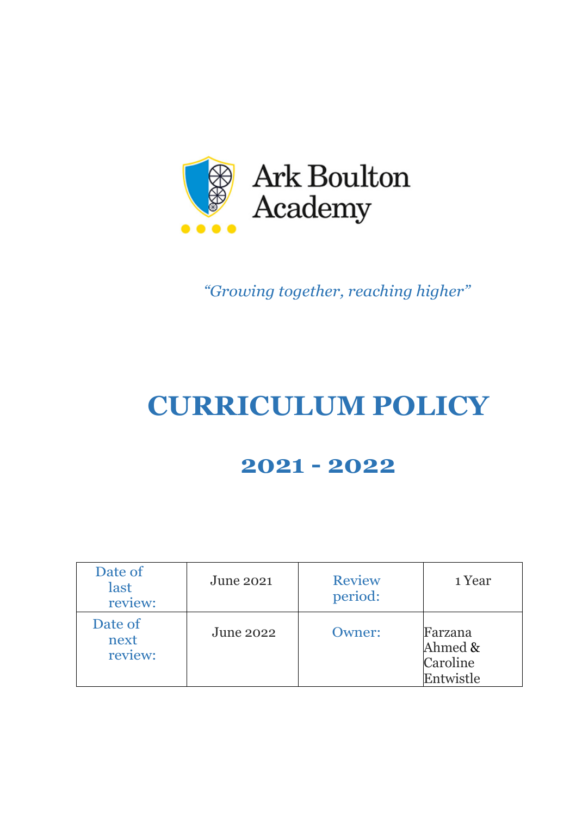

*"Growing together, reaching higher"*

# **CURRICULUM POLICY**

# **2021 - 2022**

| Date of<br>last<br>review: | <b>June 2021</b> | <b>Review</b><br>period: | 1 Year                                      |
|----------------------------|------------------|--------------------------|---------------------------------------------|
| Date of<br>next<br>review: | <b>June 2022</b> | <b>Owner:</b>            | Farzana<br>Ahmed &<br>Caroline<br>Entwistle |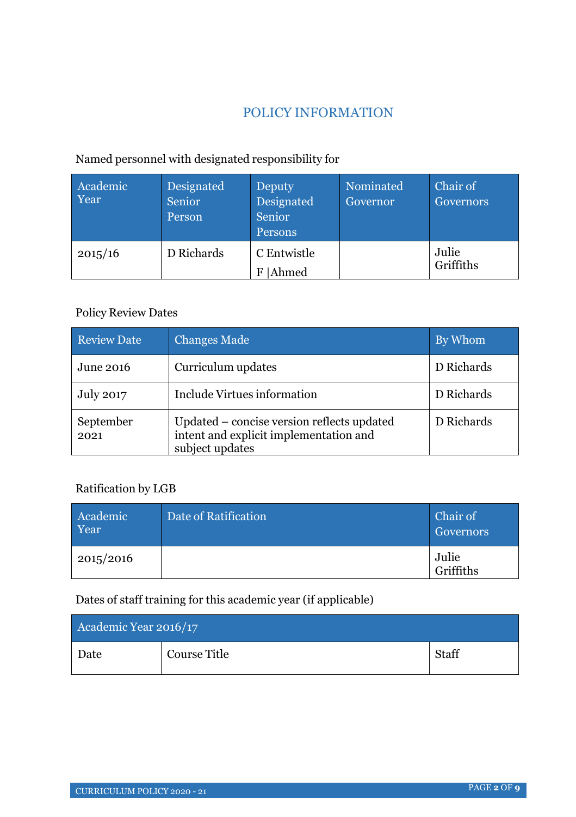# POLICY INFORMATION

# Named personnel with designated responsibility for

| Academic<br>Year | Designated<br>Senior<br>Person | Deputy<br>Designated<br>Senior<br>Persons | Nominated<br>Governor | Chair of<br>Governors |
|------------------|--------------------------------|-------------------------------------------|-----------------------|-----------------------|
| 2015/16          | D Richards                     | C Entwistle<br><b>Ahmed</b><br>F          |                       | Julie<br>Griffiths    |

# Policy Review Dates

| <b>Review Date</b> | <b>Changes Made</b>                                                                                     | By Whom    |
|--------------------|---------------------------------------------------------------------------------------------------------|------------|
| June 2016          | Curriculum updates                                                                                      | D Richards |
| <b>July 2017</b>   | Include Virtues information                                                                             | D Richards |
| September<br>2021  | Updated – concise version reflects updated<br>intent and explicit implementation and<br>subject updates | D Richards |

#### Ratification by LGB

| Academic<br>Year | Date of Ratification | Chair of<br>Governors |
|------------------|----------------------|-----------------------|
| 2015/2016        |                      | Julie<br>Griffiths    |

Dates of staff training for this academic year (if applicable)

| Academic Year 2016/17 |              |       |
|-----------------------|--------------|-------|
| Date                  | Course Title | Staff |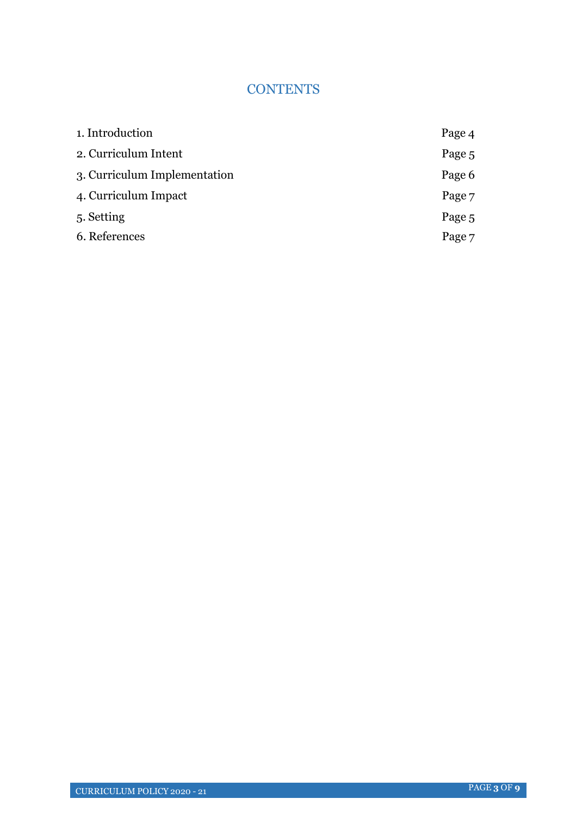## **CONTENTS**

| 1. Introduction              | Page 4 |
|------------------------------|--------|
| 2. Curriculum Intent         | Page 5 |
| 3. Curriculum Implementation | Page 6 |
| 4. Curriculum Impact         | Page 7 |
| 5. Setting                   | Page 5 |
| 6. References                | Page 7 |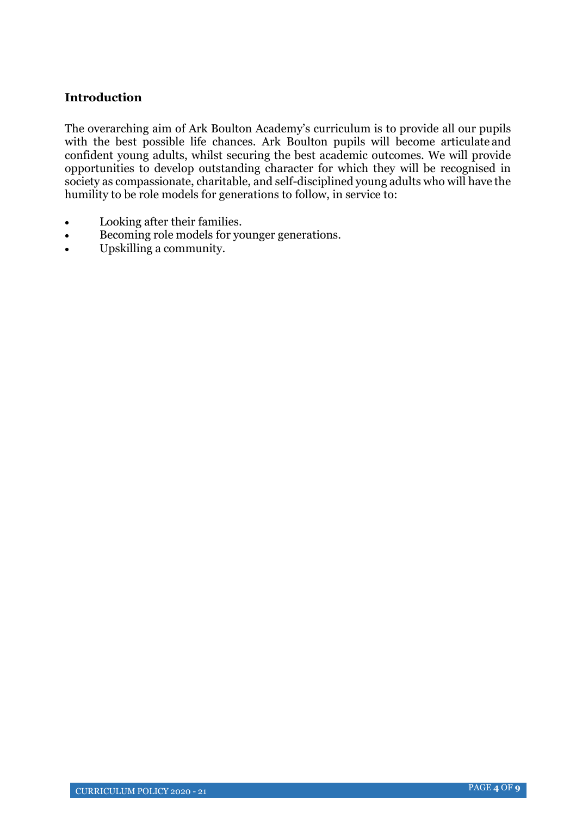#### **Introduction**

The overarching aim of Ark Boulton Academy's curriculum is to provide all our pupils with the best possible life chances. Ark Boulton pupils will become articulate and confident young adults, whilst securing the best academic outcomes. We will provide opportunities to develop outstanding character for which they will be recognised in society as compassionate, charitable, and self-disciplined young adults who will have the humility to be role models for generations to follow, in service to:

- Looking after their families.
- Becoming role models for younger generations.
- Upskilling a community.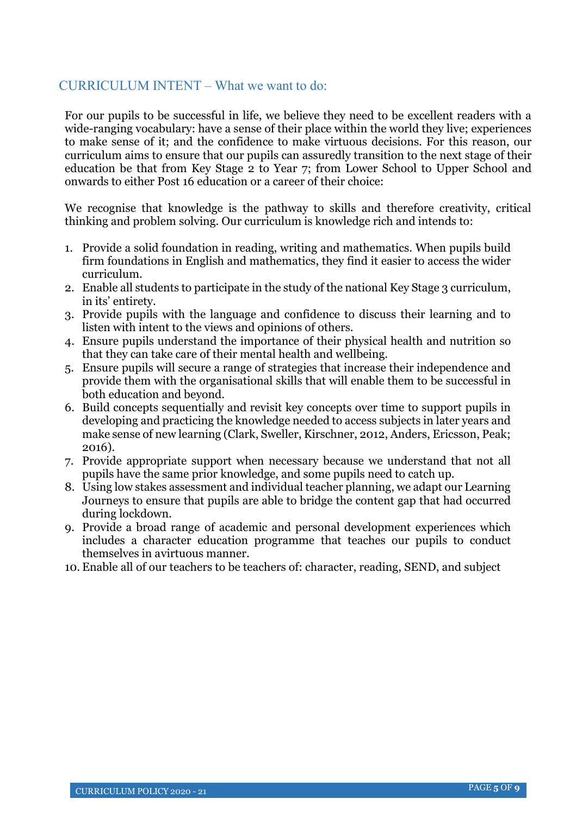#### CURRICULUM INTENT – What we want to do:

For our pupils to be successful in life, we believe they need to be excellent readers with a wide-ranging vocabulary: have a sense of their place within the world they live; experiences to make sense of it; and the confidence to make virtuous decisions. For this reason, our curriculum aims to ensure that our pupils can assuredly transition to the next stage of their education be that from Key Stage 2 to Year 7; from Lower School to Upper School and onwards to either Post 16 education or a career of their choice:

We recognise that knowledge is the pathway to skills and therefore creativity, critical thinking and problem solving. Our curriculum is knowledge rich and intends to:

- 1. Provide a solid foundation in reading, writing and mathematics. When pupils build firm foundations in English and mathematics, they find it easier to access the wider curriculum.
- 2. Enable all students to participate in the study of the national Key Stage 3 curriculum, in its' entirety.
- 3. Provide pupils with the language and confidence to discuss their learning and to listen with intent to the views and opinions of others.
- 4. Ensure pupils understand the importance of their physical health and nutrition so that they can take care of their mental health and wellbeing.
- 5. Ensure pupils will secure a range of strategies that increase their independence and provide them with the organisational skills that will enable them to be successful in both education and beyond.
- 6. Build concepts sequentially and revisit key concepts over time to support pupils in developing and practicing the knowledge needed to access subjects in later years and make sense of new learning (Clark, Sweller, Kirschner, 2012, Anders, Ericsson, Peak; 2016).
- 7. Provide appropriate support when necessary because we understand that not all pupils have the same prior knowledge, and some pupils need to catch up.
- 8. Using low stakes assessment and individual teacher planning, we adapt our Learning Journeys to ensure that pupils are able to bridge the content gap that had occurred during lockdown.
- 9. Provide a broad range of academic and personal development experiences which includes a character education programme that teaches our pupils to conduct themselves in a virtuous manner.
- 10. Enable all of our teachers to be teachers of: character, reading, SEND, and subject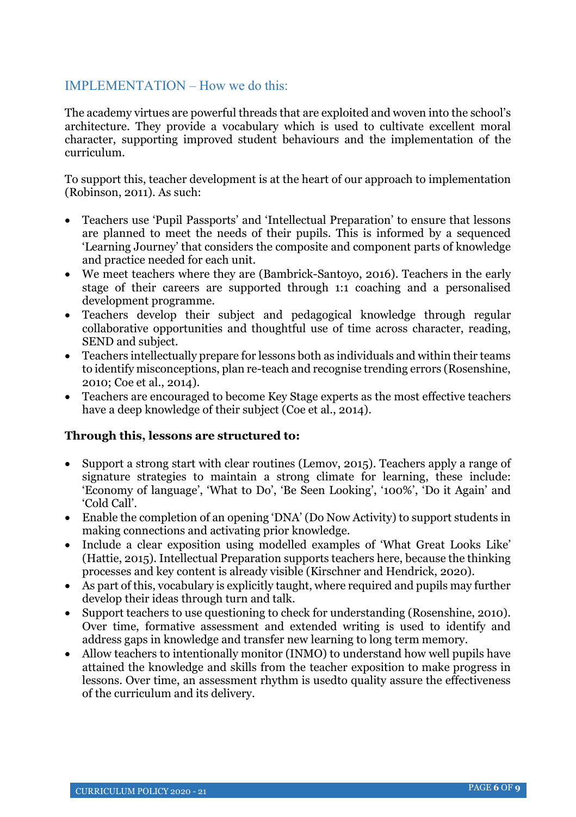#### IMPLEMENTATION – How we do this:

The academy virtues are powerful threads that are exploited and woven into the school's architecture. They provide a vocabulary which is used to cultivate excellent moral character, supporting improved student behaviours and the implementation of the curriculum.

To support this, teacher development is at the heart of our approach to implementation (Robinson, 2011). As such:

- Teachers use 'Pupil Passports' and 'Intellectual Preparation' to ensure that lessons are planned to meet the needs of their pupils. This is informed by a sequenced 'Learning Journey' that considers the composite and component parts of knowledge and practice needed for each unit.
- We meet teachers where they are (Bambrick-Santoyo, 2016). Teachers in the early stage of their careers are supported through 1:1 coaching and a personalised development programme.
- Teachers develop their subject and pedagogical knowledge through regular collaborative opportunities and thoughtful use of time across character, reading, SEND and subject.
- Teachers intellectually prepare for lessons both as individuals and within their teams to identify misconceptions, plan re-teach and recognise trending errors (Rosenshine, 2010; Coe et al., 2014).
- Teachers are encouraged to become Key Stage experts as the most effective teachers have a deep knowledge of their subject (Coe et al., 2014).

#### **Through this, lessons are structured to:**

- Support a strong start with clear routines (Lemov, 2015). Teachers apply a range of signature strategies to maintain a strong climate for learning, these include: 'Economy of language', 'What to Do', 'Be Seen Looking', '100%', 'Do it Again' and 'Cold Call'.
- Enable the completion of an opening 'DNA' (Do Now Activity) to support students in making connections and activating prior knowledge.
- Include a clear exposition using modelled examples of 'What Great Looks Like' (Hattie, 2015). Intellectual Preparation supports teachers here, because the thinking processes and key content is already visible (Kirschner and Hendrick, 2020).
- As part of this, vocabulary is explicitly taught, where required and pupils may further develop their ideas through turn and talk.
- Support teachers to use questioning to check for understanding (Rosenshine, 2010). Over time, formative assessment and extended writing is used to identify and address gaps in knowledge and transfer new learning to long term memory.
- Allow teachers to intentionally monitor (INMO) to understand how well pupils have attained the knowledge and skills from the teacher exposition to make progress in lessons. Over time, an assessment rhythm is usedto quality assure the effectiveness of the curriculum and its delivery.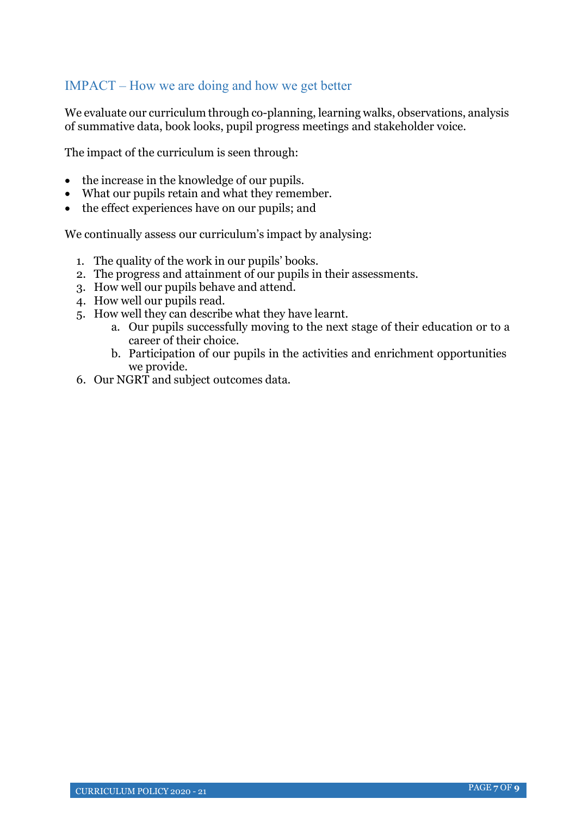### IMPACT – How we are doing and how we get better

We evaluate our curriculum through co-planning, learning walks, observations, analysis of summative data, book looks, pupil progress meetings and stakeholder voice.

The impact of the curriculum is seen through:

- the increase in the knowledge of our pupils.
- What our pupils retain and what they remember.
- the effect experiences have on our pupils; and

We continually assess our curriculum's impact by analysing:

- 1. The quality of the work in our pupils' books.
- 2. The progress and attainment of our pupils in their assessments.
- 3. How well our pupils behave and attend.
- 4. How well our pupils read.
- 5. How well they can describe what they have learnt.
	- a. Our pupils successfully moving to the next stage of their education or to a career of their choice.
	- b. Participation of our pupils in the activities and enrichment opportunities we provide.
- 6. Our NGRT and subject outcomes data.